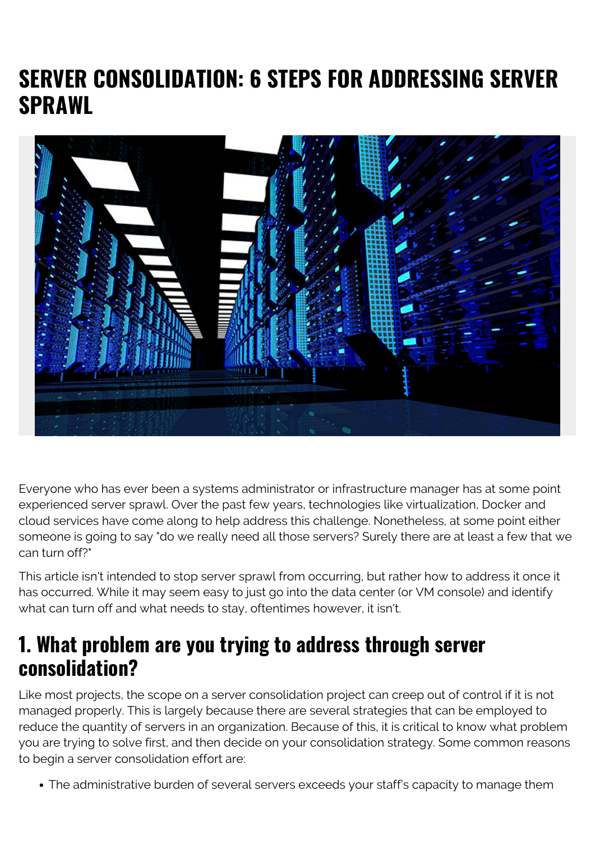# **SERVER CONSOLIDATION: 6 STEPS FOR ADDRESSING SERVER SPRAWL**



Everyone who has ever been a systems administrator or infrastructure manager has at some point experienced server sprawl. Over the past few years, technologies like virtualization, Docker and cloud services have come along to help address this challenge. Nonetheless, at some point either someone is going to say "do we really need all those servers? Surely there are at least a few that we can turn off?"

This article isn't intended to stop server sprawl from occurring, but rather how to address it once it has occurred. While it may seem easy to just go into the data center (or VM console) and identify what can turn off and what needs to stay, oftentimes however, it isn't.

#### **1. What problem are you trying to address through server consolidation?**

Like most projects, the scope on a server consolidation project can creep out of control if it is not managed properly. This is largely because there are several strategies that can be employed to reduce the quantity of servers in an organization. Because of this, it is critical to know what problem you are trying to solve first, and then decide on your consolidation strategy. Some common reasons to begin a server consolidation effort are:

The administrative burden of several servers exceeds your staff's capacity to manage them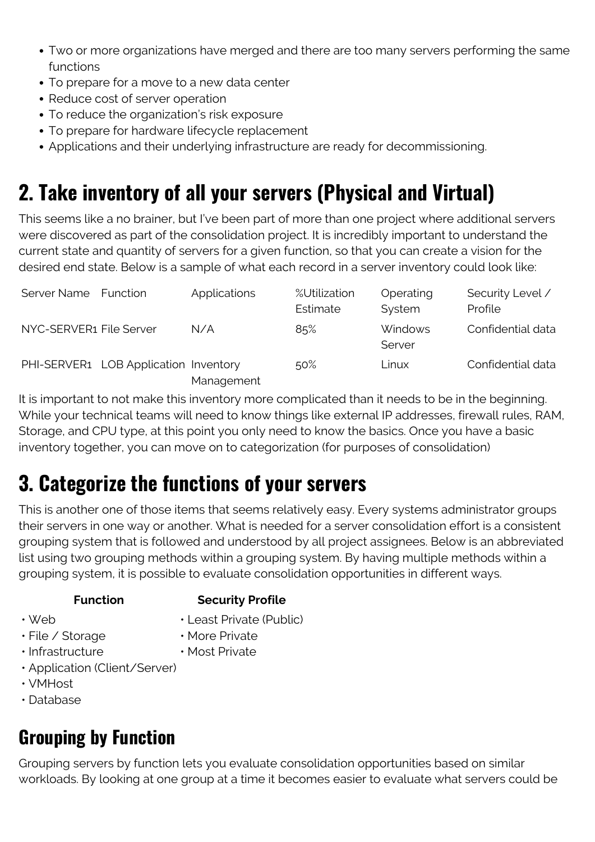- Two or more organizations have merged and there are too many servers performing the same functions
- To prepare for a move to a new data center
- Reduce cost of server operation
- To reduce the organization's risk exposure
- To prepare for hardware lifecycle replacement
- Applications and their underlying infrastructure are ready for decommissioning.

# **2. Take inventory of all your servers (Physical and Virtual)**

This seems like a no brainer, but I've been part of more than one project where additional servers were discovered as part of the consolidation project. It is incredibly important to understand the current state and quantity of servers for a given function, so that you can create a vision for the desired end state. Below is a sample of what each record in a server inventory could look like:

| Server Name             | Function                              | Applications | %Utilization<br>Estimate | Operating<br>System      | Security Level /<br>Profile |
|-------------------------|---------------------------------------|--------------|--------------------------|--------------------------|-----------------------------|
| NYC-SERVER1 File Server |                                       | N/A          | 85%                      | <b>Windows</b><br>Server | Confidential data           |
|                         | PHI-SERVER1 LOB Application Inventory | Management   | 50%                      | Linux                    | Confidential data           |

It is important to not make this inventory more complicated than it needs to be in the beginning. While your technical teams will need to know things like external IP addresses, firewall rules, RAM, Storage, and CPU type, at this point you only need to know the basics. Once you have a basic inventory together, you can move on to categorization (for purposes of consolidation)

# **3. Categorize the functions of your servers**

This is another one of those items that seems relatively easy. Every systems administrator groups their servers in one way or another. What is needed for a server consolidation effort is a consistent grouping system that is followed and understood by all project assignees. Below is an abbreviated list using two grouping methods within a grouping system. By having multiple methods within a grouping system, it is possible to evaluate consolidation opportunities in different ways.

#### **Function Security Profile**

• Web

- Least Private (Public)
- File / Storage
- More Private
- Infrastructure
- Most Private
- Application (Client/Server)
- VMHost
- Database

# **Grouping by Function**

Grouping servers by function lets you evaluate consolidation opportunities based on similar workloads. By looking at one group at a time it becomes easier to evaluate what servers could be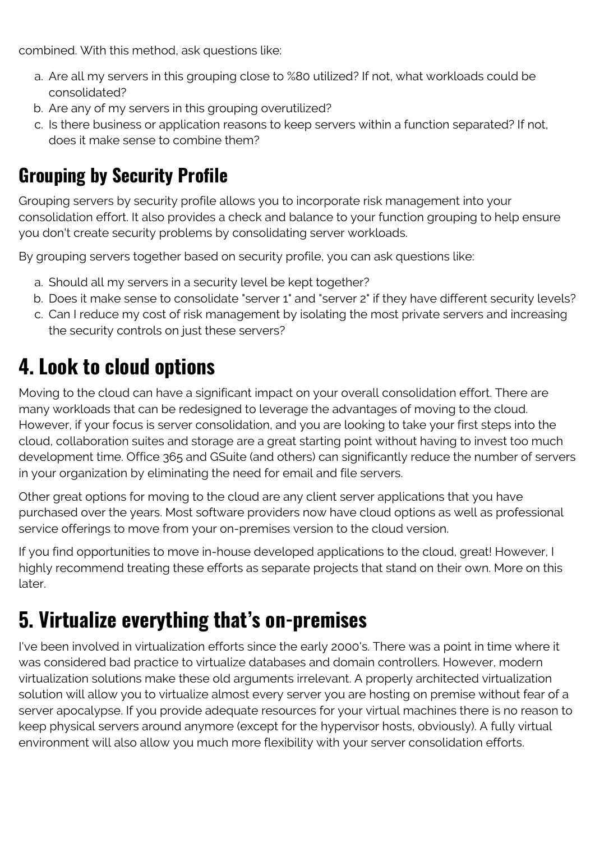combined. With this method, ask questions like:

- a. Are all my servers in this grouping close to %80 utilized? If not, what workloads could be consolidated?
- b. Are any of my servers in this grouping overutilized?
- c. Is there business or application reasons to keep servers within a function separated? If not, does it make sense to combine them?

#### **Grouping by Security Profile**

Grouping servers by security profile allows you to incorporate risk management into your consolidation effort. It also provides a check and balance to your function grouping to help ensure you don't create security problems by consolidating server workloads.

By grouping servers together based on security profile, you can ask questions like:

- a. Should all my servers in a security level be kept together?
- b. Does it make sense to consolidate "server 1" and "server 2" if they have different security levels?
- c. Can I reduce my cost of risk management by isolating the most private servers and increasing the security controls on just these servers?

## **4. Look to cloud options**

Moving to the cloud can have a significant impact on your overall consolidation effort. There are many workloads that can be redesigned to leverage the advantages of moving to the cloud. However, if your focus is server consolidation, and you are looking to take your first steps into the cloud, collaboration suites and storage are a great starting point without having to invest too much development time. Office 365 and GSuite (and others) can significantly reduce the number of servers in your organization by eliminating the need for email and file servers.

Other great options for moving to the cloud are any client server applications that you have purchased over the years. Most software providers now have cloud options as well as professional service offerings to move from your on-premises version to the cloud version.

If you find opportunities to move in-house developed applications to the cloud, great! However, I highly recommend treating these efforts as separate projects that stand on their own. More on this later.

### **5. Virtualize everything that's on-premises**

I've been involved in virtualization efforts since the early 2000's. There was a point in time where it was considered bad practice to virtualize databases and domain controllers. However, modern virtualization solutions make these old arguments irrelevant. A properly architected virtualization solution will allow you to virtualize almost every server you are hosting on premise without fear of a server apocalypse. If you provide adequate resources for your virtual machines there is no reason to keep physical servers around anymore (except for the hypervisor hosts, obviously). A fully virtual environment will also allow you much more flexibility with your server consolidation efforts.